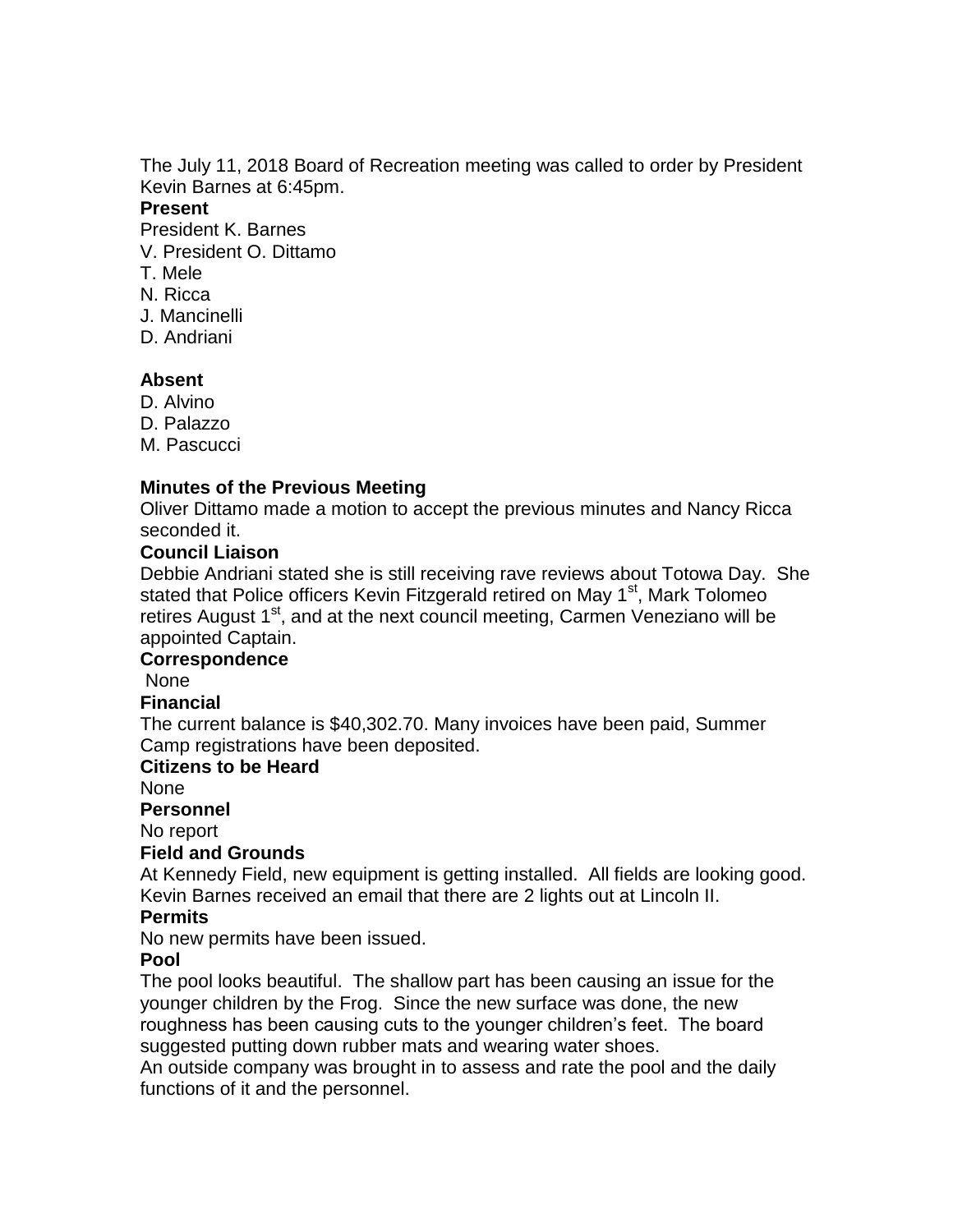The July 11, 2018 Board of Recreation meeting was called to order by President Kevin Barnes at 6:45pm.

#### **Present**

President K. Barnes

- V. President O. Dittamo
- T. Mele
- N. Ricca
- J. Mancinelli
- D. Andriani

# **Absent**

- D. Alvino
- D. Palazzo

M. Pascucci

# **Minutes of the Previous Meeting**

Oliver Dittamo made a motion to accept the previous minutes and Nancy Ricca seconded it.

### **Council Liaison**

Debbie Andriani stated she is still receiving rave reviews about Totowa Day. She stated that Police officers Kevin Fitzgerald retired on May 1<sup>st</sup>, Mark Tolomeo retires August 1<sup>st</sup>, and at the next council meeting, Carmen Veneziano will be appointed Captain.

#### **Correspondence**

None

#### **Financial**

The current balance is \$40,302.70. Many invoices have been paid, Summer Camp registrations have been deposited.

# **Citizens to be Heard**

None

#### **Personnel**

No report

# **Field and Grounds**

At Kennedy Field, new equipment is getting installed. All fields are looking good. Kevin Barnes received an email that there are 2 lights out at Lincoln II.

# **Permits**

No new permits have been issued.

# **Pool**

The pool looks beautiful. The shallow part has been causing an issue for the younger children by the Frog. Since the new surface was done, the new roughness has been causing cuts to the younger children's feet. The board suggested putting down rubber mats and wearing water shoes.

An outside company was brought in to assess and rate the pool and the daily functions of it and the personnel.